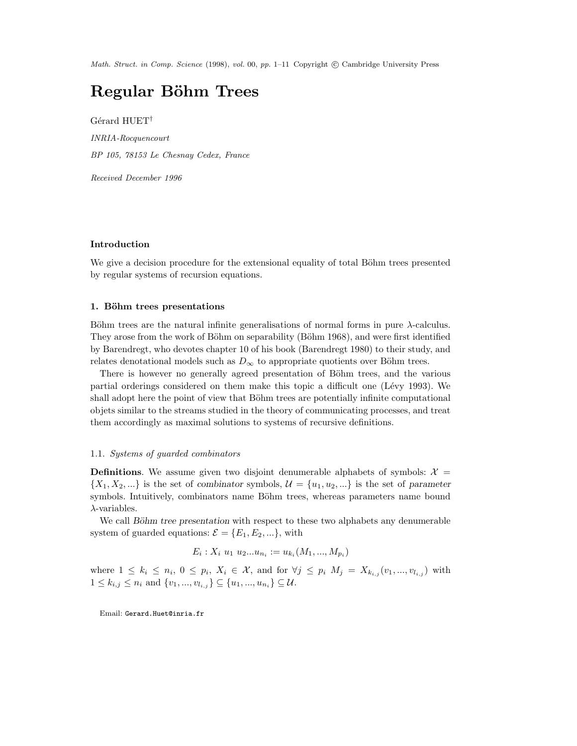Math. Struct. in Comp. Science (1998), vol. 00, pp. 1–11 Copyright © Cambridge University Press

# Regular Böhm Trees

Gérard HUET<sup>†</sup> INRIA-Rocquencourt BP 105, 78153 Le Chesnay Cedex, France

Received December 1996

# Introduction

We give a decision procedure for the extensional equality of total Böhm trees presented by regular systems of recursion equations.

## 1. Böhm trees presentations

Böhm trees are the natural infinite generalisations of normal forms in pure  $\lambda$ -calculus. They arose from the work of Böhm on separability (Böhm 1968), and were first identified by Barendregt, who devotes chapter 10 of his book (Barendregt 1980) to their study, and relates denotational models such as  $D_{\infty}$  to appropriate quotients over Böhm trees.

There is however no generally agreed presentation of Böhm trees, and the various partial orderings considered on them make this topic a difficult one (Lévy 1993). We shall adopt here the point of view that Böhm trees are potentially infinite computational objets similar to the streams studied in the theory of communicating processes, and treat them accordingly as maximal solutions to systems of recursive definitions.

## 1.1. Systems of guarded combinators

**Definitions.** We assume given two disjoint denumerable alphabets of symbols:  $\mathcal{X} =$  $\{X_1, X_2, ...\}$  is the set of combinator symbols,  $\mathcal{U} = \{u_1, u_2, ...\}$  is the set of parameter symbols. Intuitively, combinators name Böhm trees, whereas parameters name bound  $\lambda$ -variables.

We call Böhm tree presentation with respect to these two alphabets any denumerable system of guarded equations:  $\mathcal{E} = \{E_1, E_2, ...\}$ , with

$$
E_i: X_i \ u_1 \ u_2...u_{n_i} := u_{k_i}(M_1, ..., M_{p_i})
$$

where  $1 \leq k_i \leq n_i, 0 \leq p_i, X_i \in \mathcal{X}$ , and for  $\forall j \leq p_i$   $M_j = X_{k_{i,j}}(v_1, ..., v_{l_{i,j}})$  with  $1 \leq k_{i,j} \leq n_i$  and  $\{v_1, ..., v_{l_{i,j}}\} \subseteq \{u_1, ..., u_{n_i}\} \subseteq \mathcal{U}$ .

Email: Gerard.Huet@inria.fr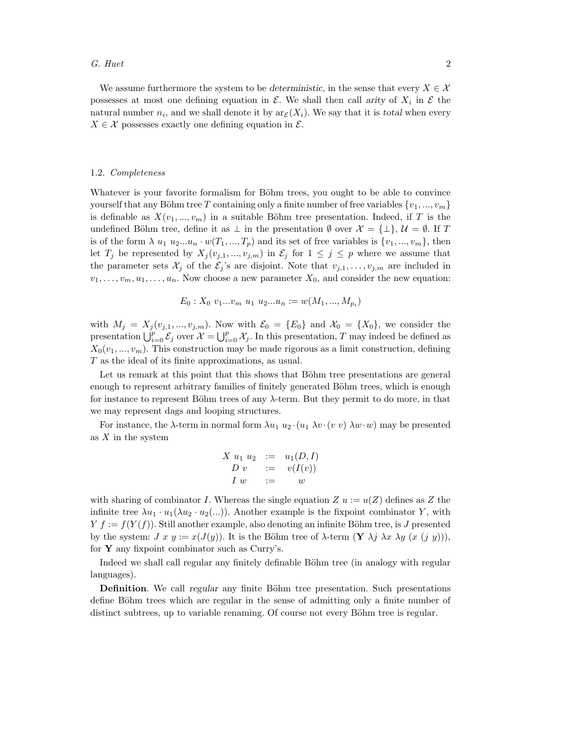### G. Huet  $2$

We assume furthermore the system to be deterministic, in the sense that every  $X \in \mathcal{X}$ possesses at most one defining equation in  $\mathcal E$ . We shall then call arity of  $X_i$  in  $\mathcal E$  the natural number  $n_i$ , and we shall denote it by  $\mathrm{ar}_{\mathcal{E}}(X_i)$ . We say that it is total when every  $X \in \mathcal{X}$  possesses exactly one defining equation in  $\mathcal{E}$ .

#### 1.2. Completeness

Whatever is your favorite formalism for Böhm trees, you ought to be able to convince yourself that any Böhm tree T containing only a finite number of free variables  $\{v_1, ..., v_m\}$ is definable as  $X(v_1, ..., v_m)$  in a suitable Böhm tree presentation. Indeed, if T is the undefined Böhm tree, define it as  $\perp$  in the presentation  $\emptyset$  over  $\mathcal{X} = {\perp}, \mathcal{U} = \emptyset$ . If T is of the form  $\lambda u_1 u_2...u_n \cdot w(T_1,...,T_p)$  and its set of free variables is  $\{v_1,...,v_m\}$ , then let  $T_j$  be represented by  $X_j(v_{j,1},...,v_{j,m})$  in  $\mathcal{E}_j$  for  $1 \leq j \leq p$  where we assume that the parameter sets  $\mathcal{X}_j$  of the  $\mathcal{E}_j$ 's are disjoint. Note that  $v_{j,1}, \ldots, v_{j,m}$  are included in  $v_1, \ldots, v_m, u_1, \ldots, u_n$ . Now choose a new parameter  $X_0$ , and consider the new equation:

$$
E_0: X_0 \ v_1...v_m \ u_1 \ u_2...u_n := w(M_1, ..., M_{p_i})
$$

with  $M_j = X_j(v_{j,1},...,v_{j,m})$ . Now with  $\mathcal{E}_0 = \{E_0\}$  and  $\mathcal{X}_0 = \{X_0\}$ , we consider the presentation  $\bigcup_{i=0}^p \mathcal{E}_j$  over  $\mathcal{X} = \bigcup_{i=0}^p \mathcal{X}_j$ . In this presentation, T may indeed be defined as  $X_0(v_1, ..., v_m)$ . This construction may be made rigorous as a limit construction, defining T as the ideal of its finite approximations, as usual.

Let us remark at this point that this shows that Böhm tree presentations are general enough to represent arbitrary families of finitely generated Böhm trees, which is enough for instance to represent Böhm trees of any  $\lambda$ -term. But they permit to do more, in that we may represent dags and looping structures.

For instance, the  $\lambda$ -term in normal form  $\lambda u_1 u_2 \cdot (u_1 \lambda v \cdot (v v) \lambda w \cdot w)$  may be presented as X in the system

$$
\begin{array}{rcl}\nX & u_1 & u_2 & := & u_1(D, I) \\
D & v & := & v(I(v)) \\
I & w & := & w\n\end{array}
$$

with sharing of combinator I. Whereas the single equation  $Z u := u(Z)$  defines as Z the infinite tree  $\lambda u_1 \cdot u_1(\lambda u_2 \cdot u_2(\ldots))$ . Another example is the fixpoint combinator Y, with  $Y f := f(Y(f))$ . Still another example, also denoting an infinite Böhm tree, is J presented by the system:  $J x y := x(J(y))$ . It is the Böhm tree of  $\lambda$ -term  $(\mathbf{Y} \lambda j \lambda x \lambda y (x (j y))),$ for  $Y$  any fixpoint combinator such as Curry's.

Indeed we shall call regular any finitely definable Böhm tree (in analogy with regular languages).

**Definition.** We call regular any finite Böhm tree presentation. Such presentations define Böhm trees which are regular in the sense of admitting only a finite number of distinct subtrees, up to variable renaming. Of course not every Böhm tree is regular.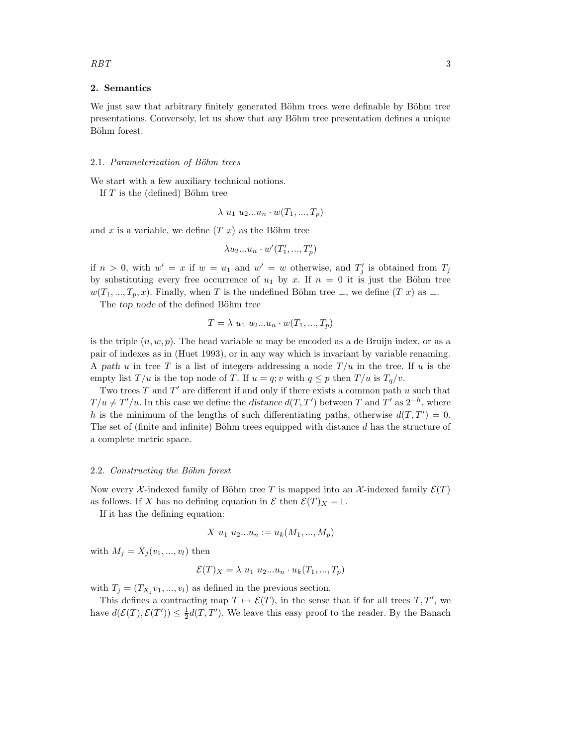## 2. Semantics

We just saw that arbitrary finitely generated Böhm trees were definable by Böhm tree presentations. Conversely, let us show that any Böhm tree presentation defines a unique Böhm forest.

#### 2.1. Parameterization of Böhm trees

We start with a few auxiliary technical notions.

If  $T$  is the (defined) Böhm tree

 $\lambda u_1 u_2...u_n \cdot w(T_1,...,T_p)$ 

and x is a variable, we define  $(T x)$  as the Böhm tree

$$
\lambda u_2...u_n \cdot w'(T'_1,...,T'_p)
$$

if  $n > 0$ , with  $w' = x$  if  $w = u_1$  and  $w' = w$  otherwise, and  $T'_j$  is obtained from  $T_j$ by substituting every free occurrence of  $u_1$  by x. If  $n = 0$  it is just the Böhm tree  $w(T_1, ..., T_p, x)$ . Finally, when T is the undefined Böhm tree  $\perp$ , we define  $(T x)$  as  $\perp$ .

The top node of the defined Böhm tree

$$
T = \lambda u_1 u_2 ... u_n \cdot w(T_1, ..., T_p)
$$

is the triple  $(n, w, p)$ . The head variable w may be encoded as a de Bruijn index, or as a pair of indexes as in (Huet 1993), or in any way which is invariant by variable renaming. A path u in tree T is a list of integers addressing a node  $T/u$  in the tree. If u is the empty list  $T/u$  is the top node of T. If  $u = q$ ; v with  $q \leq p$  then  $T/u$  is  $T_q/v$ .

Two trees  $T$  and  $T'$  are different if and only if there exists a common path u such that  $T/u \neq T'/u$ . In this case we define the distance  $d(T, T')$  between T and T' as  $2^{-h}$ , where h is the minimum of the lengths of such differentiating paths, otherwise  $d(T, T') = 0$ . The set of (finite and infinite) Böhm trees equipped with distance  $d$  has the structure of a complete metric space.

#### 2.2. Constructing the Böhm forest

Now every X-indexed family of Böhm tree T is mapped into an X-indexed family  $\mathcal{E}(T)$ as follows. If X has no defining equation in  $\mathcal E$  then  $\mathcal E(T)_X = \perp$ .

If it has the defining equation:

$$
X \ u_1 \ u_2...u_n := u_k(M_1, ..., M_p)
$$

with  $M_i = X_i (v_1, ..., v_l)$  then

$$
\mathcal{E}(T)_X = \lambda u_1 u_2 \dots u_n \cdot u_k(T_1, \dots, T_p)
$$

with  $T_j = (T_{X_j}v_1, ..., v_l)$  as defined in the previous section.

This defines a contracting map  $T \mapsto \mathcal{E}(T)$ , in the sense that if for all trees  $T, T'$ , we have  $d(\mathcal{E}(T), \mathcal{E}(T')) \leq \frac{1}{2}d(T, T')$ . We leave this easy proof to the reader. By the Banach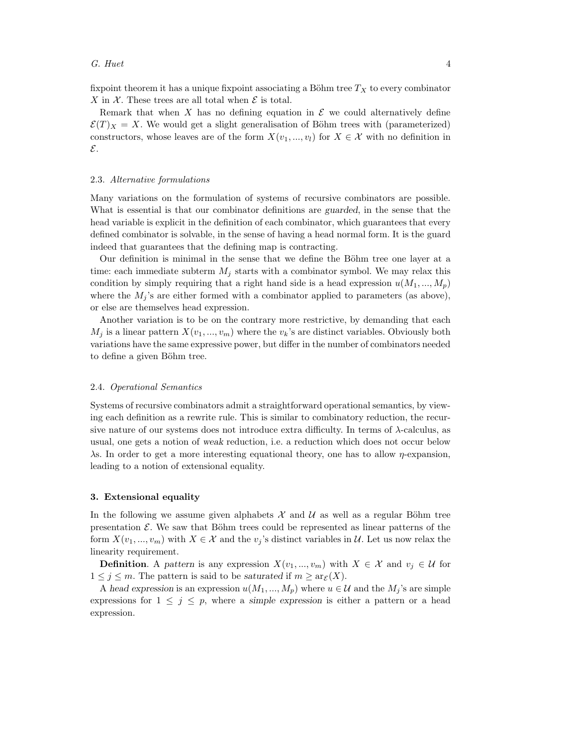fixpoint theorem it has a unique fixpoint associating a Böhm tree  $T_X$  to every combinator X in  $\mathcal X$ . These trees are all total when  $\mathcal E$  is total.

Remark that when X has no defining equation in  $\mathcal E$  we could alternatively define  $\mathcal{E}(T)_X = X$ . We would get a slight generalisation of Böhm trees with (parameterized) constructors, whose leaves are of the form  $X(v_1, ..., v_l)$  for  $X \in \mathcal{X}$  with no definition in E.

## 2.3. Alternative formulations

Many variations on the formulation of systems of recursive combinators are possible. What is essential is that our combinator definitions are guarded, in the sense that the head variable is explicit in the definition of each combinator, which guarantees that every defined combinator is solvable, in the sense of having a head normal form. It is the guard indeed that guarantees that the defining map is contracting.

Our definition is minimal in the sense that we define the Böhm tree one layer at a time: each immediate subterm  $M_i$  starts with a combinator symbol. We may relax this condition by simply requiring that a right hand side is a head expression  $u(M_1, ..., M_p)$ where the  $M_j$ 's are either formed with a combinator applied to parameters (as above), or else are themselves head expression.

Another variation is to be on the contrary more restrictive, by demanding that each  $M_i$  is a linear pattern  $X(v_1, ..., v_m)$  where the  $v_k$ 's are distinct variables. Obviously both variations have the same expressive power, but differ in the number of combinators needed to define a given Böhm tree.

## 2.4. Operational Semantics

Systems of recursive combinators admit a straightforward operational semantics, by viewing each definition as a rewrite rule. This is similar to combinatory reduction, the recursive nature of our systems does not introduce extra difficulty. In terms of  $\lambda$ -calculus, as usual, one gets a notion of weak reduction, i.e. a reduction which does not occur below λs. In order to get a more interesting equational theory, one has to allow η-expansion, leading to a notion of extensional equality.

## 3. Extensional equality

In the following we assume given alphabets  $\mathcal X$  and  $\mathcal U$  as well as a regular Böhm tree presentation  $\mathcal{E}$ . We saw that Böhm trees could be represented as linear patterns of the form  $X(v_1, ..., v_m)$  with  $X \in \mathcal{X}$  and the  $v_j$ 's distinct variables in  $\mathcal{U}$ . Let us now relax the linearity requirement.

**Definition.** A pattern is any expression  $X(v_1, ..., v_m)$  with  $X \in \mathcal{X}$  and  $v_j \in \mathcal{U}$  for  $1 \leq j \leq m$ . The pattern is said to be saturated if  $m \geq \text{arg}(X)$ .

A head expression is an expression  $u(M_1, ..., M_p)$  where  $u \in \mathcal{U}$  and the  $M_j$ 's are simple expressions for  $1 \leq j \leq p$ , where a simple expression is either a pattern or a head expression.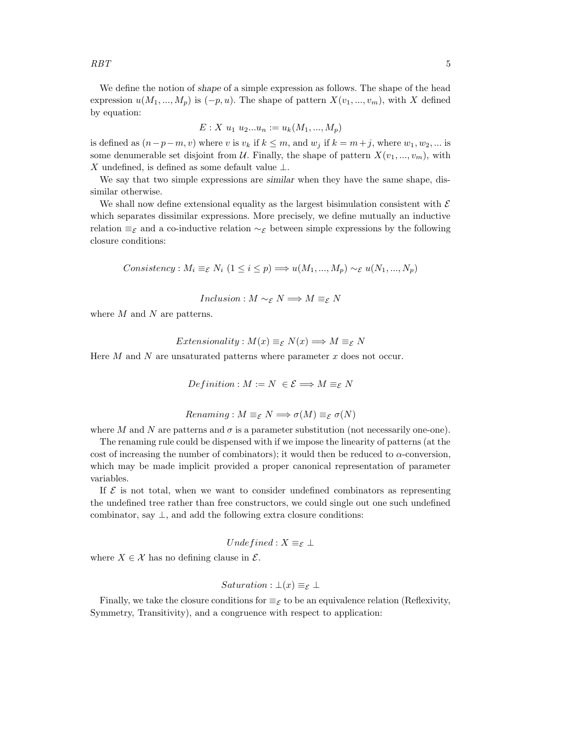We define the notion of shape of a simple expression as follows. The shape of the head expression  $u(M_1, ..., M_p)$  is  $(-p, u)$ . The shape of pattern  $X(v_1, ..., v_m)$ , with X defined by equation:

$$
E: X \ u_1 \ u_2...u_n := u_k(M_1, ..., M_p)
$$

is defined as  $(n-p-m, v)$  where v is  $v_k$  if  $k \leq m$ , and  $w_j$  if  $k = m+j$ , where  $w_1, w_2, ...$  is some denumerable set disjoint from  $\mathcal{U}$ . Finally, the shape of pattern  $X(v_1, ..., v_m)$ , with X undefined, is defined as some default value  $\perp$ .

We say that two simple expressions are similar when they have the same shape, dissimilar otherwise.

We shall now define extensional equality as the largest bisimulation consistent with  $\mathcal E$ which separates dissimilar expressions. More precisely, we define mutually an inductive relation  $\equiv_{\mathcal{E}}$  and a co-inductive relation  $\sim_{\mathcal{E}}$  between simple expressions by the following closure conditions:

Consistency :  $M_i \equiv_{\mathcal{E}} N_i$  (1 ≤ i ≤ p)  $\Longrightarrow u(M_1, ..., M_p) \sim_{\mathcal{E}} u(N_1, ..., N_p)$ 

*Inclusion* :  $M \sim_{\mathcal{E}} N \Longrightarrow M \equiv_{\mathcal{E}} N$ 

where  $M$  and  $N$  are patterns.

*Extensionality* : 
$$
M(x) \equiv_{\mathcal{E}} N(x) \Longrightarrow M \equiv_{\mathcal{E}} N
$$

Here  $M$  and  $N$  are unsaturated patterns where parameter  $x$  does not occur.

$$
Definition : M := N \ \in \mathcal{E} \Longrightarrow M \equiv_{\mathcal{E}} N
$$

$$
Renaming: M \equiv_{\mathcal{E}} N \Longrightarrow \sigma(M) \equiv_{\mathcal{E}} \sigma(N)
$$

where M and N are patterns and  $\sigma$  is a parameter substitution (not necessarily one-one).

The renaming rule could be dispensed with if we impose the linearity of patterns (at the cost of increasing the number of combinators); it would then be reduced to  $\alpha$ -conversion, which may be made implicit provided a proper canonical representation of parameter variables.

If  $\mathcal E$  is not total, when we want to consider undefined combinators as representing the undefined tree rather than free constructors, we could single out one such undefined combinator, say  $\perp$ , and add the following extra closure conditions:

$$
Undefined: X \equiv_{\mathcal{E}} \bot
$$

where  $X \in \mathcal{X}$  has no defining clause in  $\mathcal{E}$ .

*Saturation*: 
$$
\bot(x) \equiv_{\mathcal{E}} \bot
$$

Finally, we take the closure conditions for  $\equiv_{\mathcal{E}}$  to be an equivalence relation (Reflexivity, Symmetry, Transitivity), and a congruence with respect to application: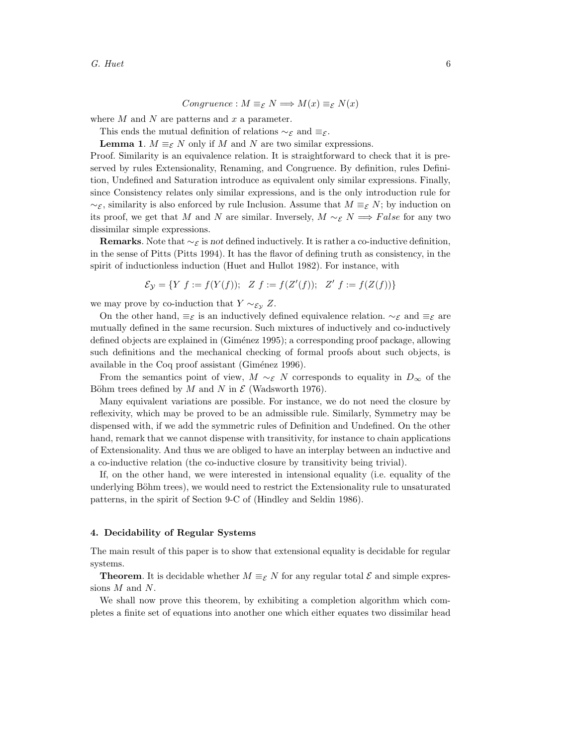Congruence :  $M \equiv_{\mathcal{E}} N \Longrightarrow M(x) \equiv_{\mathcal{E}} N(x)$ 

where  $M$  and  $N$  are patterns and  $x$  a parameter.

This ends the mutual definition of relations  $\sim_{\mathcal{E}}$  and  $\equiv_{\mathcal{E}}$ .

**Lemma 1.**  $M \equiv_{\mathcal{E}} N$  only if M and N are two similar expressions.

Proof. Similarity is an equivalence relation. It is straightforward to check that it is preserved by rules Extensionality, Renaming, and Congruence. By definition, rules Definition, Undefined and Saturation introduce as equivalent only similar expressions. Finally, since Consistency relates only similar expressions, and is the only introduction rule for  $\sim$ g, similarity is also enforced by rule Inclusion. Assume that  $M \equiv g N$ ; by induction on its proof, we get that M and N are similar. Inversely,  $M \sim_{\mathcal{E}} N \Longrightarrow False$  for any two dissimilar simple expressions.

**Remarks.** Note that  $\sim$ g is not defined inductively. It is rather a co-inductive definition, in the sense of Pitts (Pitts 1994). It has the flavor of defining truth as consistency, in the spirit of inductionless induction (Huet and Hullot 1982). For instance, with

$$
\mathcal{E}_{\mathcal{Y}} = \{ Y \ f := f(Y(f)); \ Z \ f := f(Z'(f)); \ Z' \ f := f(Z(f)) \}
$$

we may prove by co-induction that  $Y \sim_{\mathcal{E}_{\mathcal{Y}}} Z$ .

On the other hand,  $\equiv_{\mathcal{E}}$  is an inductively defined equivalence relation.  $\sim_{\mathcal{E}}$  and  $\equiv_{\mathcal{E}}$  are mutually defined in the same recursion. Such mixtures of inductively and co-inductively defined objects are explained in (Giménez 1995); a corresponding proof package, allowing such definitions and the mechanical checking of formal proofs about such objects, is available in the Coq proof assistant (Giménez 1996).

From the semantics point of view,  $M \sim_{\mathcal{E}} N$  corresponds to equality in  $D_{\infty}$  of the Böhm trees defined by M and N in  $\mathcal E$  (Wadsworth 1976).

Many equivalent variations are possible. For instance, we do not need the closure by reflexivity, which may be proved to be an admissible rule. Similarly, Symmetry may be dispensed with, if we add the symmetric rules of Definition and Undefined. On the other hand, remark that we cannot dispense with transitivity, for instance to chain applications of Extensionality. And thus we are obliged to have an interplay between an inductive and a co-inductive relation (the co-inductive closure by transitivity being trivial).

If, on the other hand, we were interested in intensional equality (i.e. equality of the underlying Böhm trees), we would need to restrict the Extensionality rule to unsaturated patterns, in the spirit of Section 9-C of (Hindley and Seldin 1986).

### 4. Decidability of Regular Systems

The main result of this paper is to show that extensional equality is decidable for regular systems.

**Theorem.** It is decidable whether  $M \equiv_{\mathcal{E}} N$  for any regular total  $\mathcal{E}$  and simple expressions M and N.

We shall now prove this theorem, by exhibiting a completion algorithm which completes a finite set of equations into another one which either equates two dissimilar head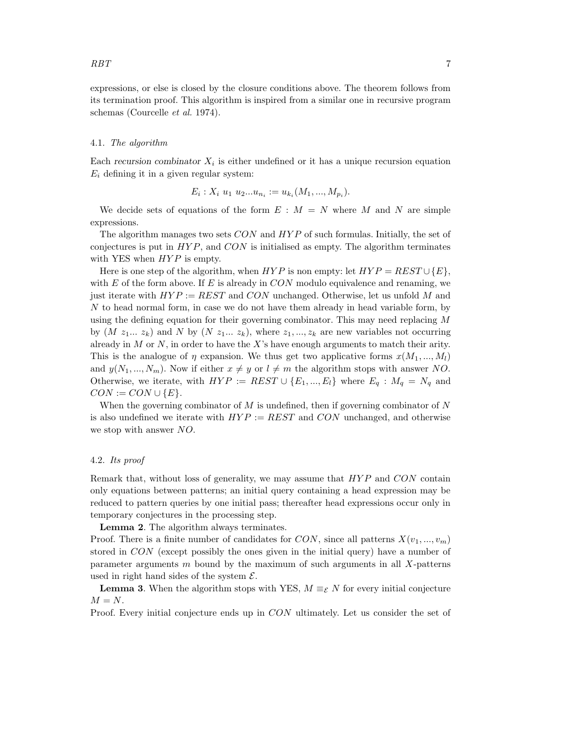expressions, or else is closed by the closure conditions above. The theorem follows from its termination proof. This algorithm is inspired from a similar one in recursive program schemas (Courcelle et al. 1974).

#### 4.1. The algorithm

Each recursion combinator  $X_i$  is either undefined or it has a unique recursion equation  $E_i$  defining it in a given regular system:

$$
E_i: X_i \ u_1 \ u_2...u_{n_i} := u_{k_i}(M_1, ..., M_{p_i}).
$$

We decide sets of equations of the form  $E : M = N$  where M and N are simple expressions.

The algorithm manages two sets  $CON$  and  $HYP$  of such formulas. Initially, the set of conjectures is put in  $HYP$ , and  $CON$  is initialised as empty. The algorithm terminates with YES when  $HYP$  is empty.

Here is one step of the algorithm, when  $HYP$  is non empty: let  $HYP = REST \cup \{E\}$ , with  $E$  of the form above. If  $E$  is already in  $CON$  modulo equivalence and renaming, we just iterate with  $HYP := REST$  and CON unchanged. Otherwise, let us unfold M and N to head normal form, in case we do not have them already in head variable form, by using the defining equation for their governing combinator. This may need replacing M by  $(M z_1... z_k)$  and N by  $(N z_1... z_k)$ , where  $z_1,..., z_k$  are new variables not occurring already in  $M$  or  $N$ , in order to have the  $X$ 's have enough arguments to match their arity. This is the analogue of  $\eta$  expansion. We thus get two applicative forms  $x(M_1, ..., M_l)$ and  $y(N_1, ..., N_m)$ . Now if either  $x \neq y$  or  $l \neq m$  the algorithm stops with answer NO. Otherwise, we iterate, with  $HYP := REST \cup \{E_1, ..., E_l\}$  where  $E_q : M_q = N_q$  and  $CON := CON \cup {E}.$ 

When the governing combinator of  $M$  is undefined, then if governing combinator of  $N$ is also undefined we iterate with  $HYP := REST$  and  $CON$  unchanged, and otherwise we stop with answer NO.

## 4.2. Its proof

Remark that, without loss of generality, we may assume that  $HYP$  and  $CON$  contain only equations between patterns; an initial query containing a head expression may be reduced to pattern queries by one initial pass; thereafter head expressions occur only in temporary conjectures in the processing step.

Lemma 2. The algorithm always terminates.

Proof. There is a finite number of candidates for CON, since all patterns  $X(v_1, ..., v_m)$ stored in CON (except possibly the ones given in the initial query) have a number of parameter arguments  $m$  bound by the maximum of such arguments in all  $X$ -patterns used in right hand sides of the system  $\mathcal{E}$ .

**Lemma 3.** When the algorithm stops with YES,  $M \equiv_{\mathcal{E}} N$  for every initial conjecture  $M = N$ .

Proof. Every initial conjecture ends up in CON ultimately. Let us consider the set of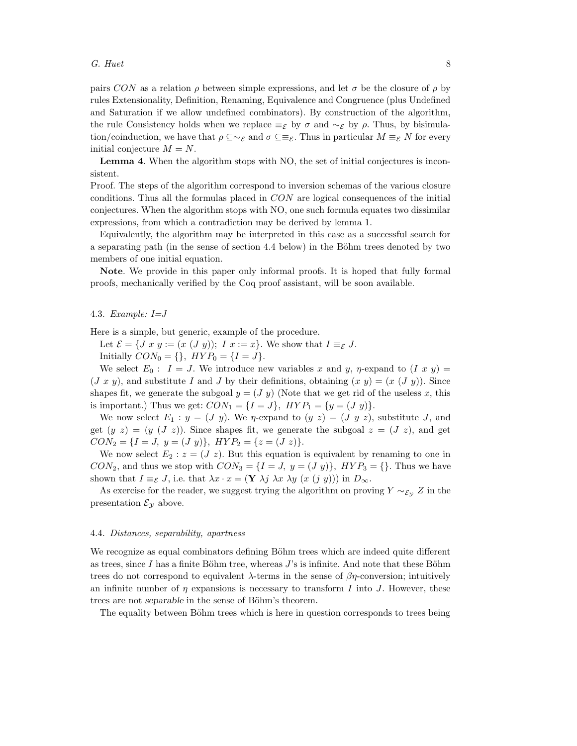pairs CON as a relation  $\rho$  between simple expressions, and let  $\sigma$  be the closure of  $\rho$  by rules Extensionality, Definition, Renaming, Equivalence and Congruence (plus Undefined and Saturation if we allow undefined combinators). By construction of the algorithm, the rule Consistency holds when we replace  $\equiv$ ε by  $\sigma$  and  $\sim$ ε by  $\rho$ . Thus, by bisimulation/coinduction, we have that  $\rho \subseteq \sim_{\mathcal{E}}$  and  $\sigma \subseteq \equiv_{\mathcal{E}}$ . Thus in particular  $M \equiv_{\mathcal{E}} N$  for every initial conjecture  $M = N$ .

Lemma 4. When the algorithm stops with NO, the set of initial conjectures is inconsistent.

Proof. The steps of the algorithm correspond to inversion schemas of the various closure conditions. Thus all the formulas placed in CON are logical consequences of the initial conjectures. When the algorithm stops with NO, one such formula equates two dissimilar expressions, from which a contradiction may be derived by lemma 1.

Equivalently, the algorithm may be interpreted in this case as a successful search for a separating path (in the sense of section 4.4 below) in the Böhm trees denoted by two members of one initial equation.

Note. We provide in this paper only informal proofs. It is hoped that fully formal proofs, mechanically verified by the Coq proof assistant, will be soon available.

#### 4.3. Example:  $I = J$

Here is a simple, but generic, example of the procedure.

Let  $\mathcal{E} = \{J x y := (x (J y)); I x := x\}.$  We show that  $I \equiv_{\mathcal{E}} J$ .

Initially  $CON_0 = \{\}, HYP_0 = \{I = J\}.$ 

We select  $E_0$ :  $I = J$ . We introduce new variables x and y,  $\eta$ -expand to  $(I x y) =$  $(J x y)$ , and substitute I and J by their definitions, obtaining  $(x y) = (x (J y))$ . Since shapes fit, we generate the subgoal  $y = (J \, y)$  (Note that we get rid of the useless x, this is important.) Thus we get:  $CON<sub>1</sub> = {I = J}$ ,  $HYP<sub>1</sub> = {y = (J y)}$ .

We now select  $E_1 : y = (J \, y)$ . We *n*-expand to  $(y \, z) = (J \, y \, z)$ , substitute J, and get  $(y \ z) = (y \ (J \ z))$ . Since shapes fit, we generate the subgoal  $z = (J \ z)$ , and get  $CON_2 = \{I = J, y = (J y)\}, HYP_2 = \{z = (J z)\}.$ 

We now select  $E_2: z = (J z)$ . But this equation is equivalent by renaming to one in  $CON_2$ , and thus we stop with  $CON_3 = \{I = J, y = (J y)\}\$ ,  $HYP_3 = \{\}$ . Thus we have shown that  $I \equiv_{\mathcal{E}} J$ , i.e. that  $\lambda x \cdot x = (\mathbf{Y} \lambda j \lambda x \lambda y (x (j y)))$  in  $D_{\infty}$ .

As exercise for the reader, we suggest trying the algorithm on proving  $Y \sim_{\mathcal{E}_Y} Z$  in the presentation  $\mathcal{E}_{\mathcal{Y}}$  above.

#### 4.4. Distances, separability, apartness

We recognize as equal combinators defining Böhm trees which are indeed quite different as trees, since I has a finite Böhm tree, whereas  $J$ 's is infinite. And note that these Böhm trees do not correspond to equivalent  $\lambda$ -terms in the sense of  $\beta\eta$ -conversion; intuitively an infinite number of  $\eta$  expansions is necessary to transform I into J. However, these trees are not separable in the sense of Böhm's theorem.

The equality between Böhm trees which is here in question corresponds to trees being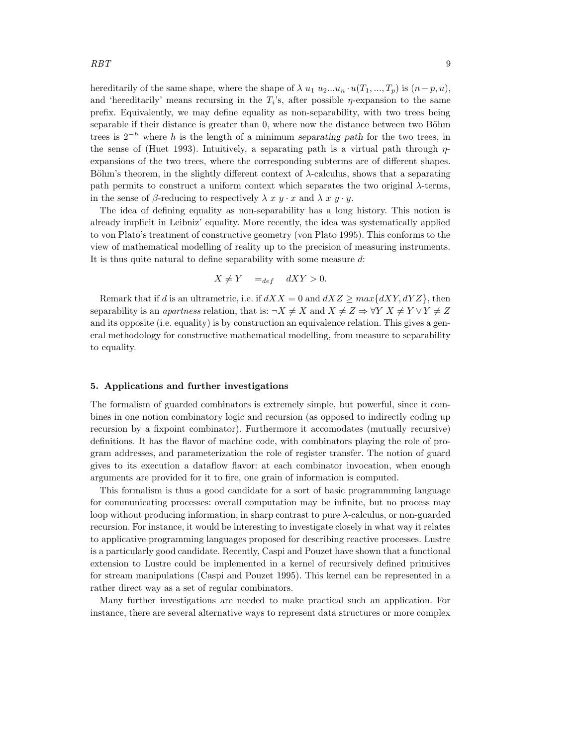hereditarily of the same shape, where the shape of  $\lambda u_1 u_2...u_n u(T_1,...,T_p)$  is  $(n-p, u)$ , and 'hereditarily' means recursing in the  $T_i$ 's, after possible  $\eta$ -expansion to the same prefix. Equivalently, we may define equality as non-separability, with two trees being separable if their distance is greater than  $0$ , where now the distance between two Böhm trees is  $2^{-h}$  where h is the length of a minimum separating path for the two trees, in the sense of (Huet 1993). Intuitively, a separating path is a virtual path through  $\eta$ expansions of the two trees, where the corresponding subterms are of different shapes. Böhm's theorem, in the slightly different context of  $\lambda$ -calculus, shows that a separating path permits to construct a uniform context which separates the two original  $\lambda$ -terms, in the sense of  $\beta$ -reducing to respectively  $\lambda x y \cdot x$  and  $\lambda x y \cdot y$ .

The idea of defining equality as non-separability has a long history. This notion is already implicit in Leibniz' equality. More recently, the idea was systematically applied to von Plato's treatment of constructive geometry (von Plato 1995). This conforms to the view of mathematical modelling of reality up to the precision of measuring instruments. It is thus quite natural to define separability with some measure  $d$ :

$$
X \neq Y \quad =_{def} \quad dXY > 0.
$$

Remark that if d is an ultrametric, i.e. if  $dXX = 0$  and  $dXZ \geq max\{dXY, dYZ\}$ , then separability is an *apartness* relation, that is:  $\neg X \neq X$  and  $X \neq Z \Rightarrow \forall Y \ X \neq Y \lor Y \neq Z$ and its opposite (i.e. equality) is by construction an equivalence relation. This gives a general methodology for constructive mathematical modelling, from measure to separability to equality.

## 5. Applications and further investigations

The formalism of guarded combinators is extremely simple, but powerful, since it combines in one notion combinatory logic and recursion (as opposed to indirectly coding up recursion by a fixpoint combinator). Furthermore it accomodates (mutually recursive) definitions. It has the flavor of machine code, with combinators playing the role of program addresses, and parameterization the role of register transfer. The notion of guard gives to its execution a dataflow flavor: at each combinator invocation, when enough arguments are provided for it to fire, one grain of information is computed.

This formalism is thus a good candidate for a sort of basic programmming language for communicating processes: overall computation may be infinite, but no process may loop without producing information, in sharp contrast to pure  $\lambda$ -calculus, or non-guarded recursion. For instance, it would be interesting to investigate closely in what way it relates to applicative programming languages proposed for describing reactive processes. Lustre is a particularly good candidate. Recently, Caspi and Pouzet have shown that a functional extension to Lustre could be implemented in a kernel of recursively defined primitives for stream manipulations (Caspi and Pouzet 1995). This kernel can be represented in a rather direct way as a set of regular combinators.

Many further investigations are needed to make practical such an application. For instance, there are several alternative ways to represent data structures or more complex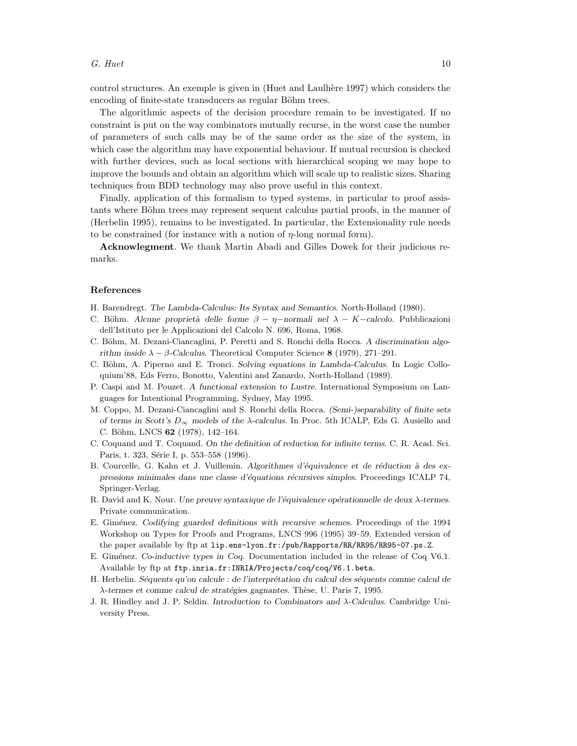control structures. An exemple is given in (Huet and Laulhère 1997) which considers the encoding of finite-state transducers as regular Böhm trees.

The algorithmic aspects of the decision procedure remain to be investigated. If no constraint is put on the way combinators mutually recurse, in the worst case the number of parameters of such calls may be of the same order as the size of the system, in which case the algorithm may have exponential behaviour. If mutual recursion is checked with further devices, such as local sections with hierarchical scoping we may hope to improve the bounds and obtain an algorithm which will scale up to realistic sizes. Sharing techniques from BDD technology may also prove useful in this context.

Finally, application of this formalism to typed systems, in particular to proof assistants where Böhm trees may represent sequent calculus partial proofs, in the manner of (Herbelin 1995), remains to be investigated. In particular, the Extensionality rule needs to be constrained (for instance with a notion of  $\eta$ -long normal form).

Acknowlegment. We thank Martin Abadi and Gilles Dowek for their judicious remarks.

#### References

- H. Barendregt. The Lambda-Calculus: Its Syntax and Semantics. North-Holland (1980).
- C. Böhm. Alcune proprietà delle forme  $\beta \eta$ -normali nel  $\lambda K$ -calcolo. Pubblicazioni dell'Istituto per le Applicazioni del Calcolo N. 696, Roma, 1968.
- C. Böhm, M. Dezani-Ciancaglini, P. Peretti and S. Ronchi della Rocca. A discrimination algorithm inside  $\lambda - \beta$ -Calculus. Theoretical Computer Science 8 (1979), 271–291.
- C. Böhm, A. Piperno and E. Tronci. Solving equations in Lambda-Calculus. In Logic Colloquium'88, Eds Ferro, Bonotto, Valentini and Zanardo, North-Holland (1989).
- P. Caspi and M. Pouzet. A functional extension to Lustre. International Symposium on Languages for Intentional Programming, Sydney, May 1995.
- M. Coppo, M. Dezani-Ciancaglini and S. Ronchi della Rocca. (Semi-)separability of finite sets of terms in Scott's  $D_{\infty}$  models of the  $\lambda$ -calculus. In Proc. 5th ICALP, Eds G. Ausiello and C. Böhm, LNCS 62 (1978), 142-164.
- C. Coquand and T. Coquand. On the definition of reduction for infinite terms. C. R. Acad. Sci. Paris, t. 323, Série I, p. 553–558 (1996).
- B. Courcelle, G. Kahn et J. Vuillemin. Algorithmes d'équivalence et de réduction à des expressions minimales dans une classe d'équations récursives simples. Proceedings ICALP 74, Springer-Verlag.
- R. David and K. Nour. Une preuve syntaxique de l'équivalence opérationnelle de deux λ-termes. Private communication.
- E. Gim´enez. Codifying guarded definitions with recursive schemes. Proceedings of the 1994 Workshop on Types for Proofs and Programs, LNCS 996 (1995) 39–59. Extended version of the paper available by ftp at lip.ens-lyon.fr:/pub/Rapports/RR/RR95/RR95-07.ps.Z.
- E. Giménez. Co-inductive types in Coq. Documentation included in the release of Coq V6.1. Available by ftp at ftp.inria.fr:INRIA/Projects/coq/coq/V6.1.beta.
- H. Herbelin. Séquents qu'on calcule : de l'interprétation du calcul des séquents comme calcul de  $\lambda$ -termes et comme calcul de stratégies gagnantes. Thèse, U. Paris 7, 1995.
- J. R. Hindley and J. P. Seldin. Introduction to Combinators and λ-Calculus. Cambridge University Press.